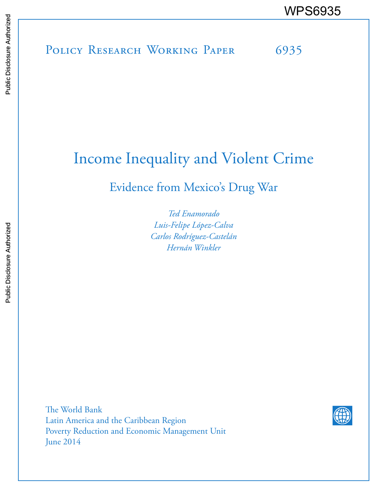# Income Inequality and Violent Crime

Evidence from Mexico's Drug War

*Ted Enamorado Luis-Felipe López-Calva Carlos Rodríguez-Castelán Hernán Winkler*

The World Bank Latin America and the Caribbean Region Poverty Reduction and Economic Management Unit June 2014

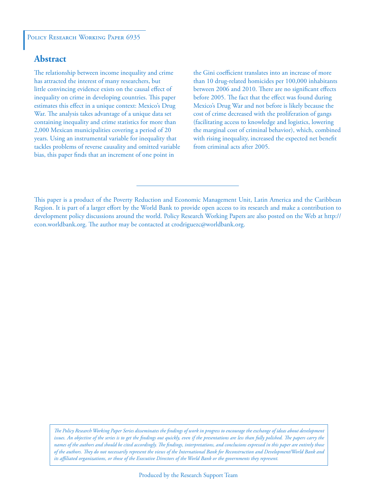#### POLICY RESEARCH WORKING PAPER 6935

## **Abstract**

The relationship between income inequality and crime has attracted the interest of many researchers, but little convincing evidence exists on the causal effect of inequality on crime in developing countries. This paper estimates this effect in a unique context: Mexico's Drug War. The analysis takes advantage of a unique data set containing inequality and crime statistics for more than 2,000 Mexican municipalities covering a period of 20 years. Using an instrumental variable for inequality that tackles problems of reverse causality and omitted variable bias, this paper finds that an increment of one point in

the Gini coefficient translates into an increase of more than 10 drug-related homicides per 100,000 inhabitants between 2006 and 2010. There are no significant effects before 2005. The fact that the effect was found during Mexico's Drug War and not before is likely because the cost of crime decreased with the proliferation of gangs (facilitating access to knowledge and logistics, lowering the marginal cost of criminal behavior), which, combined with rising inequality, increased the expected net benefit from criminal acts after 2005.

*The Policy Research Working Paper Series disseminates the findings of work in progress to encourage the exchange of ideas about development*  issues. An objective of the series is to get the findings out quickly, even if the presentations are less than fully polished. The papers carry the *names of the authors and should be cited accordingly. The findings, interpretations, and conclusions expressed in this paper are entirely those of the authors. They do not necessarily represent the views of the International Bank for Reconstruction and Development/World Bank and its affiliated organizations, or those of the Executive Directors of the World Bank or the governments they represent.*

This paper is a product of the Poverty Reduction and Economic Management Unit, Latin America and the Caribbean Region. It is part of a larger effort by the World Bank to provide open access to its research and make a contribution to development policy discussions around the world. Policy Research Working Papers are also posted on the Web at http:// econ.worldbank.org. The author may be contacted at crodriguezc@worldbank.org.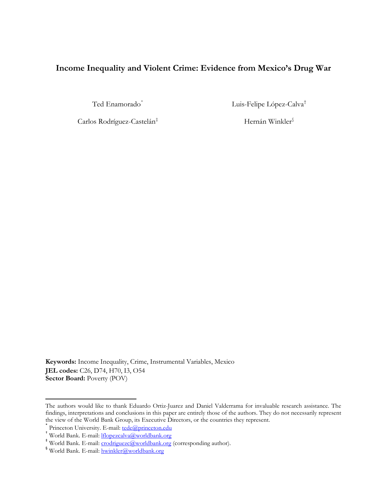# **Income Inequality and Violent Crime: Evidence from Mexico's Drug War**

Ted Enamorado<sup>[\\*](#page-2-0)</sup> Luis-Felipe López-Calva<sup>[†](#page-2-1)</sup>

Carlos Rodríguez-Castelán<sup>[‡](#page-2-2)</sup> Hernán Winkler<sup>[§](#page-2-3)</sup>

**Keywords:** Income Inequality, Crime, Instrumental Variables, Mexico **JEL codes:** C26, D74, H70, I3, O54 **Sector Board: Poverty (POV)** 

 $\overline{\phantom{a}}$ 

<span id="page-2-0"></span>The authors would like to thank Eduardo Ortiz-Juarez and Daniel Valderrama for invaluable research assistance. The findings, interpretations and conclusions in this paper are entirely those of the authors. They do not necessarily represent

<span id="page-2-1"></span><sup>\*</sup> Princeton University. E-mail: <u>tede@princeton.edu</u><br>+ World Bank. E-mail: <u>lflopezcalva@worldbank.org</u><br>\* World Bank. E-mail: <u>crodriguezc@worldbank.org</u> (corresponding author).

<span id="page-2-3"></span><span id="page-2-2"></span><sup>§</sup> World Bank. E-mail: [hwinkler@worldbank.org](mailto:hwinkler@worldbank.org)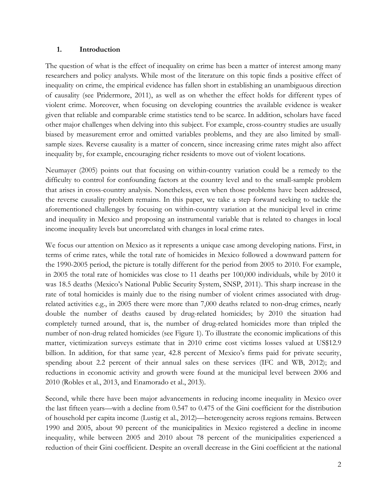#### **1. Introduction**

The question of what is the effect of inequality on crime has been a matter of interest among many researchers and policy analysts. While most of the literature on this topic finds a positive effect of inequality on crime, the empirical evidence has fallen short in establishing an unambiguous direction of causality (see Pridermore, 2011), as well as on whether the effect holds for different types of violent crime. Moreover, when focusing on developing countries the available evidence is weaker given that reliable and comparable crime statistics tend to be scarce. In addition, scholars have faced other major challenges when delving into this subject. For example, cross-country studies are usually biased by measurement error and omitted variables problems, and they are also limited by smallsample sizes. Reverse causality is a matter of concern, since increasing crime rates might also affect inequality by, for example, encouraging richer residents to move out of violent locations.

Neumayer (2005) points out that focusing on within-country variation could be a remedy to the difficulty to control for confounding factors at the country level and to the small-sample problem that arises in cross-country analysis. Nonetheless, even when those problems have been addressed, the reverse causality problem remains. In this paper, we take a step forward seeking to tackle the aforementioned challenges by focusing on within-country variation at the municipal level in crime and inequality in Mexico and proposing an instrumental variable that is related to changes in local income inequality levels but uncorrelated with changes in local crime rates.

We focus our attention on Mexico as it represents a unique case among developing nations. First, in terms of crime rates, while the total rate of homicides in Mexico followed a downward pattern for the 1990-2005 period, the picture is totally different for the period from 2005 to 2010. For example, in 2005 the total rate of homicides was close to 11 deaths per 100,000 individuals, while by 2010 it was 18.5 deaths (Mexico's National Public Security System, SNSP, 2011). This sharp increase in the rate of total homicides is mainly due to the rising number of violent crimes associated with drugrelated activities e.g., in 2005 there were more than 7,000 deaths related to non-drug crimes, nearly double the number of deaths caused by drug-related homicides; by 2010 the situation had completely turned around, that is, the number of drug-related homicides more than tripled the number of non-drug related homicides (see Figure 1). To illustrate the economic implications of this matter, victimization surveys estimate that in 2010 crime cost victims losses valued at US\$12.9 billion. In addition, for that same year, 42.8 percent of Mexico's firms paid for private security, spending about 2.2 percent of their annual sales on these services (IFC and WB, 2012); and reductions in economic activity and growth were found at the municipal level between 2006 and 2010 (Robles et al., 2013, and Enamorado et al., 2013).

Second, while there have been major advancements in reducing income inequality in Mexico over the last fifteen years—with a decline from 0.547 to 0.475 of the Gini coefficient for the distribution of household per capita income (Lustig et al., 2012)—heterogeneity across regions remains. Between 1990 and 2005, about 90 percent of the municipalities in Mexico registered a decline in income inequality, while between 2005 and 2010 about 78 percent of the municipalities experienced a reduction of their Gini coefficient. Despite an overall decrease in the Gini coefficient at the national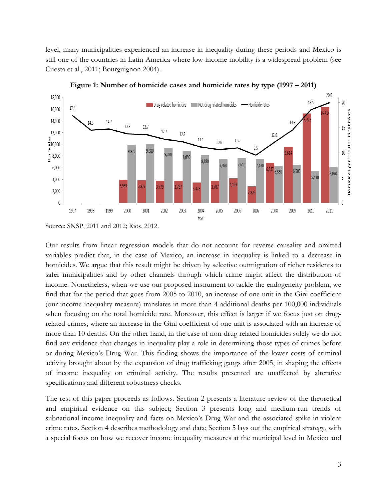level, many municipalities experienced an increase in inequality during these periods and Mexico is still one of the countries in Latin America where low-income mobility is a widespread problem (see Cuesta et al., 2011; Bourguignon 2004).



**Figure 1: Number of homicide cases and homicide rates by type (1997 – 2011)**

Our results from linear regression models that do not account for reverse causality and omitted variables predict that, in the case of Mexico, an increase in inequality is linked to a decrease in homicides. We argue that this result might be driven by selective outmigration of richer residents to safer municipalities and by other channels through which crime might affect the distribution of income. Nonetheless, when we use our proposed instrument to tackle the endogeneity problem, we find that for the period that goes from 2005 to 2010, an increase of one unit in the Gini coefficient (our income inequality measure) translates in more than 4 additional deaths per 100,000 individuals when focusing on the total homicide rate. Moreover, this effect is larger if we focus just on drugrelated crimes, where an increase in the Gini coefficient of one unit is associated with an increase of more than 10 deaths. On the other hand, in the case of non-drug related homicides solely we do not find any evidence that changes in inequality play a role in determining those types of crimes before or during Mexico's Drug War. This finding shows the importance of the lower costs of criminal activity brought about by the expansion of drug trafficking gangs after 2005, in shaping the effects of income inequality on criminal activity. The results presented are unaffected by alterative specifications and different robustness checks.

The rest of this paper proceeds as follows. Section 2 presents a literature review of the theoretical and empirical evidence on this subject; Section 3 presents long and medium-run trends of subnational income inequality and facts on Mexico's Drug War and the associated spike in violent crime rates. Section 4 describes methodology and data; Section 5 lays out the empirical strategy, with a special focus on how we recover income inequality measures at the municipal level in Mexico and

Source: SNSP, 2011 and 2012; Rios, 2012.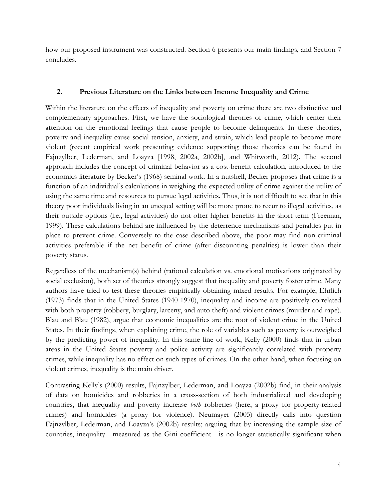how our proposed instrument was constructed. Section 6 presents our main findings, and Section 7 concludes.

## **2. Previous Literature on the Links between Income Inequality and Crime**

Within the literature on the effects of inequality and poverty on crime there are two distinctive and complementary approaches. First, we have the sociological theories of crime, which center their attention on the emotional feelings that cause people to become delinquents. In these theories, poverty and inequality cause social tension, anxiety, and strain, which lead people to become more violent (recent empirical work presenting evidence supporting those theories can be found in Fajnzylber, Lederman, and Loayza [1998, 2002a, 2002b], and Whitworth, 2012). The second approach includes the concept of criminal behavior as a cost-benefit calculation, introduced to the economics literature by Becker's (1968) seminal work. In a nutshell, Becker proposes that crime is a function of an individual's calculations in weighing the expected utility of crime against the utility of using the same time and resources to pursue legal activities. Thus, it is not difficult to see that in this theory poor individuals living in an unequal setting will be more prone to recur to illegal activities, as their outside options (i.e., legal activities) do not offer higher benefits in the short term (Freeman, 1999). These calculations behind are influenced by the deterrence mechanisms and penalties put in place to prevent crime. Conversely to the case described above, the poor may find non-criminal activities preferable if the net benefit of crime (after discounting penalties) is lower than their poverty status.

Regardless of the mechanism(s) behind (rational calculation vs. emotional motivations originated by social exclusion), both set of theories strongly suggest that inequality and poverty foster crime. Many authors have tried to test these theories empirically obtaining mixed results. For example, Ehrlich (1973) finds that in the United States (1940-1970), inequality and income are positively correlated with both property (robbery, burglary, larceny, and auto theft) and violent crimes (murder and rape). Blau and Blau (1982), argue that economic inequalities are the root of violent crime in the United States. In their findings, when explaining crime, the role of variables such as poverty is outweighed by the predicting power of inequality. In this same line of work, Kelly (2000) finds that in urban areas in the United States poverty and police activity are significantly correlated with property crimes, while inequality has no effect on such types of crimes. On the other hand, when focusing on violent crimes, inequality is the main driver.

Contrasting Kelly's (2000) results, Fajnzylber, Lederman, and Loayza (2002b) find, in their analysis of data on homicides and robberies in a cross-section of both industrialized and developing countries, that inequality and poverty increase *both* robberies (here, a proxy for property-related crimes) and homicides (a proxy for violence). Neumayer (2005) directly calls into question Fajnzylber, Lederman, and Loayza's (2002b) results; arguing that by increasing the sample size of countries, inequality—measured as the Gini coefficient—is no longer statistically significant when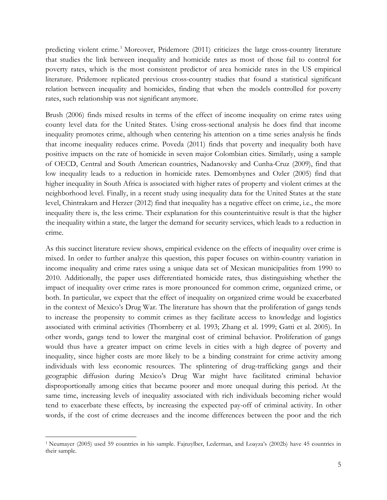predicting violent crime.<sup>[1](#page-6-0)</sup> Moreover, Pridemore (2011) criticizes the large cross-country literature that studies the link between inequality and homicide rates as most of those fail to control for poverty rates, which is the most consistent predictor of area homicide rates in the US empirical literature. Pridemore replicated previous cross-country studies that found a statistical significant relation between inequality and homicides, finding that when the models controlled for poverty rates, such relationship was not significant anymore.

Brush (2006) finds mixed results in terms of the effect of income inequality on crime rates using county level data for the United States. Using cross-sectional analysis he does find that income inequality promotes crime, although when centering his attention on a time series analysis he finds that income inequality reduces crime. Poveda (2011) finds that poverty and inequality both have positive impacts on the rate of homicide in seven major Colombian cities. Similarly, using a sample of OECD, Central and South American countries, Nadanovsky and Cunha-Cruz (2009), find that low inequality leads to a reduction in homicide rates. Demombynes and Ozler (2005) find that higher inequality in South Africa is associated with higher rates of property and violent crimes at the neighborhood level. Finally, in a recent study using inequality data for the United States at the state level, Chintrakarn and Herzer (2012) find that inequality has a negative effect on crime, i.e., the more inequality there is, the less crime. Their explanation for this counterintuitive result is that the higher the inequality within a state, the larger the demand for security services, which leads to a reduction in crime.

As this succinct literature review shows, empirical evidence on the effects of inequality over crime is mixed. In order to further analyze this question, this paper focuses on within-country variation in income inequality and crime rates using a unique data set of Mexican municipalities from 1990 to 2010. Additionally, the paper uses differentiated homicide rates, thus distinguishing whether the impact of inequality over crime rates is more pronounced for common crime, organized crime, or both. In particular, we expect that the effect of inequality on organized crime would be exacerbated in the context of Mexico's Drug War. The literature has shown that the proliferation of gangs tends to increase the propensity to commit crimes as they facilitate access to knowledge and logistics associated with criminal activities (Thornberry et al. 1993; Zhang et al. 1999; Gatti et al. 2005). In other words, gangs tend to lower the marginal cost of criminal behavior. Proliferation of gangs would thus have a greater impact on crime levels in cities with a high degree of poverty and inequality, since higher costs are more likely to be a binding constraint for crime activity among individuals with less economic resources. The splintering of drug-trafficking gangs and their geographic diffusion during Mexico's Drug War might have facilitated criminal behavior disproportionally among cities that became poorer and more unequal during this period. At the same time, increasing levels of inequality associated with rich individuals becoming richer would tend to exacerbate these effects, by increasing the expected pay-off of criminal activity. In other words, if the cost of crime decreases and the income differences between the poor and the rich

 $\overline{\phantom{a}}$ 

<span id="page-6-0"></span><sup>1</sup> Neumayer (2005) used 59 countries in his sample. Fajnzylber, Lederman, and Loayza's (2002b) have 45 countries in their sample.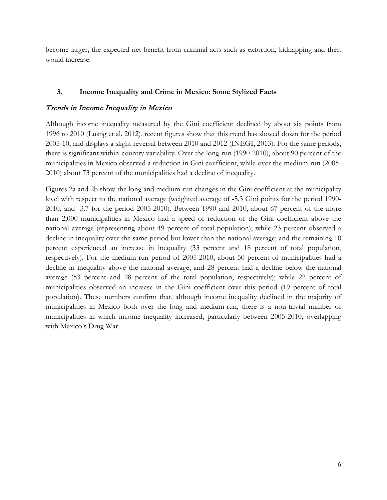become larger, the expected net benefit from criminal acts such as extortion, kidnapping and theft would increase.

## **3. Income Inequality and Crime in Mexico: Some Stylized Facts**

## Trends in Income Inequality in Mexico

Although income inequality measured by the Gini coefficient declined by about six points from 1996 to 2010 (Lustig et al. 2012), recent figures show that this trend has slowed down for the period 2005-10, and displays a slight reversal between 2010 and 2012 (INEGI, 2013). For the same periods, there is significant within-country variability. Over the long-run (1990-2010), about 90 percent of the municipalities in Mexico observed a reduction in Gini coefficient, while over the medium-run (2005- 2010) about 73 percent of the municipalities had a decline of inequality.

Figures 2a and 2b show the long and medium-run changes in the Gini coefficient at the municipality level with respect to the national average (weighted average of -5.3 Gini points for the period 1990- 2010, and -3.7 for the period 2005-2010). Between 1990 and 2010, about 67 percent of the more than 2,000 municipalities in Mexico had a speed of reduction of the Gini coefficient above the national average (representing about 49 percent of total population); while 23 percent observed a decline in inequality over the same period but lower than the national average; and the remaining 10 percent experienced an increase in inequality (33 percent and 18 percent of total population, respectively). For the medium-run period of 2005-2010, about 50 percent of municipalities had a decline in inequality above the national average, and 28 percent had a decline below the national average (53 percent and 28 percent of the total population, respectively); while 22 percent of municipalities observed an increase in the Gini coefficient over this period (19 percent of total population). These numbers confirm that, although income inequality declined in the majority of municipalities in Mexico both over the long and medium-run, there is a non-trivial number of municipalities in which income inequality increased, particularly between 2005-2010, overlapping with Mexico's Drug War.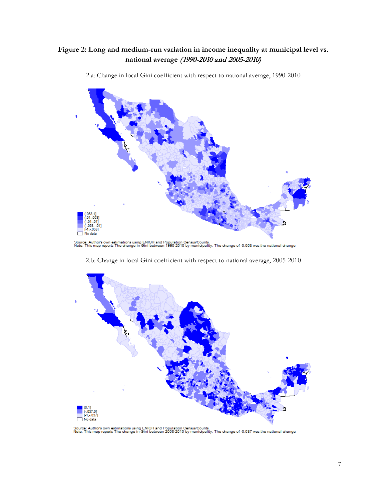# **Figure 2: Long and medium-run variation in income inequality at municipal level vs. national average** (1990-2010 and 2005-2010)



2.a: Change in local Gini coefficient with respect to national average, 1990-2010

Source: Author's own estimations using ENIGH and Population Census/Counts.<br>Note: This map reports The change in Gini between 1990-2010 by municipality. The change of -0.053 was the national change



2.b: Change in local Gini coefficient with respect to national average, 2005-2010

Source: Author's own estimations using ENIGH and Population Census/Counts.<br>Note: This map reports The change in Gini between 2005-2010 by municipality. The change of -0.037 was the national change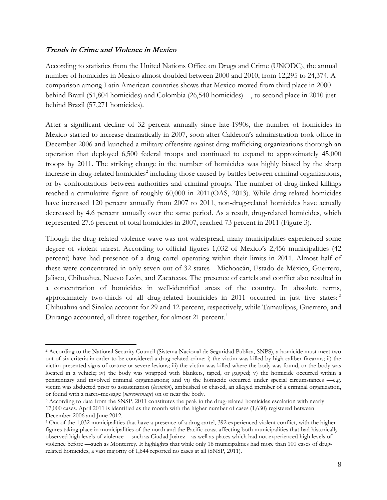## Trends in Crime and Violence in Mexico

 $\overline{\phantom{a}}$ 

According to statistics from the United Nations Office on Drugs and Crime (UNODC), the annual number of homicides in Mexico almost doubled between 2000 and 2010, from 12,295 to 24,374. A comparison among Latin American countries shows that Mexico moved from third place in 2000 behind Brazil (51,804 homicides) and Colombia (26,540 homicides)—, to second place in 2010 just behind Brazil (57,271 homicides).

After a significant decline of 32 percent annually since late-1990s, the number of homicides in Mexico started to increase dramatically in 2007, soon after Calderon's administration took office in December 2006 and launched a military offensive against drug trafficking organizations thorough an operation that deployed 6,500 federal troops and continued to expand to approximately 45,000 troops by 2011. The striking change in the number of homicides was highly biased by the sharp increase in drug-related homicides<sup>[2](#page-9-0)</sup> including those caused by battles between criminal organizations, or by confrontations between authorities and criminal groups. The number of drug-linked killings reached a cumulative figure of roughly 60,000 in 2011(OAS, 2013). While drug-related homicides have increased 120 percent annually from 2007 to 2011, non-drug-related homicides have actually decreased by 4.6 percent annually over the same period. As a result, drug-related homicides, which represented 27.6 percent of total homicides in 2007, reached 73 percent in 2011 (Figure 3).

Though the drug-related violence wave was not widespread, many municipalities experienced some degree of violent unrest. According to official figures 1,032 of Mexico's 2,456 municipalities (42 percent) have had presence of a drug cartel operating within their limits in 2011. Almost half of these were concentrated in only seven out of 32 states—Michoacán, Estado de México, Guerrero, Jalisco, Chihuahua, Nuevo León, and Zacatecas. The presence of cartels and conflict also resulted in a concentration of homicides in well-identified areas of the country. In absolute terms, approximately two-thirds of all drug-related homicides in 2011 occurred in just five states:<sup>[3](#page-9-1)</sup> Chihuahua and Sinaloa account for 29 and 12 percent, respectively, while Tamaulipas, Guerrero, and Durango accounted, all three together, for almost 21 percent. [4](#page-9-2)

<span id="page-9-0"></span><sup>2</sup> According to the National Security Council (Sistema Nacional de Seguridad Publica, SNPS), a homicide must meet two out of six criteria in order to be considered a drug-related crime: i) the victim was killed by high caliber firearms; ii) the victim presented signs of torture or severe lesions; iii) the victim was killed where the body was found, or the body was located in a vehicle; iv) the body was wrapped with blankets, taped, or gagged; v) the homicide occurred within a penitentiary and involved criminal organizations; and vi) the homicide occurred under special circumstances —e.g. victim was abducted prior to assassination (*levantón*), ambushed or chased, an alleged member of a criminal organization, or found with a narco-message (*narcomensaje*) on or near the body.

<span id="page-9-1"></span><sup>3</sup> According to data from the SNSP, 2011 constitutes the peak in the drug-related homicides escalation with nearly 17,000 cases. April 2011 is identified as the month with the higher number of cases (1,630) registered between December 2006 and June 2012.

<span id="page-9-2"></span><sup>4</sup> Out of the 1,032 municipalities that have a presence of a drug cartel, 392 experienced violent conflict, with the higher figures taking place in municipalities of the north and the Pacific coast affecting both municipalities that had historically observed high levels of violence —such as Ciudad Juárez—as well as places which had not experienced high levels of violence before —such as Monterrey. It highlights that while only 18 municipalities had more than 100 cases of drugrelated homicides, a vast majority of 1,644 reported no cases at all (SNSP, 2011).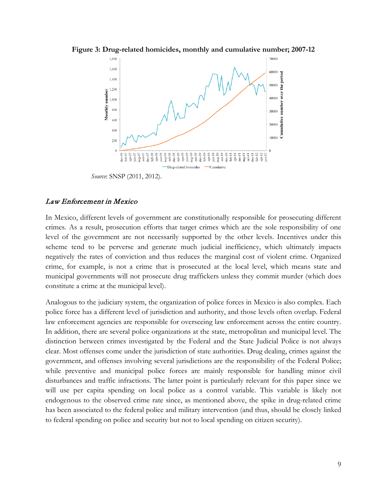

**Figure 3: Drug-related homicides, monthly and cumulative number; 2007-12**

*Source*: SNSP (2011, 2012).

## Law Enforcement in Mexico

In Mexico, different levels of government are constitutionally responsible for prosecuting different crimes. As a result, prosecution efforts that target crimes which are the sole responsibility of one level of the government are not necessarily supported by the other levels. Incentives under this scheme tend to be perverse and generate much judicial inefficiency, which ultimately impacts negatively the rates of conviction and thus reduces the marginal cost of violent crime. Organized crime, for example, is not a crime that is prosecuted at the local level, which means state and municipal governments will not prosecute drug traffickers unless they commit murder (which does constitute a crime at the municipal level).

Analogous to the judiciary system, the organization of police forces in Mexico is also complex. Each police force has a different level of jurisdiction and authority, and those levels often overlap. Federal law enforcement agencies are responsible for overseeing law enforcement across the entire country. In addition, there are several police organizations at the state, metropolitan and municipal level. The distinction between crimes investigated by the Federal and the State Judicial Police is not always clear. Most offenses come under the jurisdiction of state authorities. Drug dealing, crimes against the government, and offenses involving several jurisdictions are the responsibility of the Federal Police; while preventive and municipal police forces are mainly responsible for handling minor civil disturbances and traffic infractions. The latter point is particularly relevant for this paper since we will use per capita spending on local police as a control variable. This variable is likely not endogenous to the observed crime rate since, as mentioned above, the spike in drug-related crime has been associated to the federal police and military intervention (and thus, should be closely linked to federal spending on police and security but not to local spending on citizen security).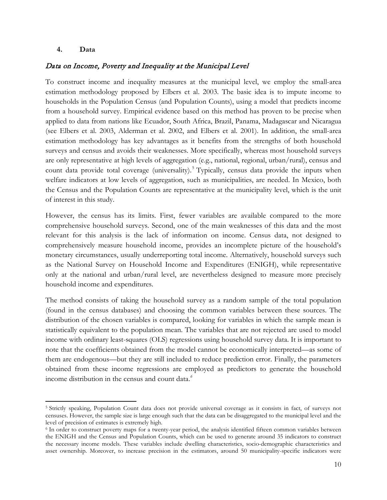#### **4. Data**

## Data on Income, Poverty and Inequality at the Municipal Level

To construct income and inequality measures at the municipal level, we employ the small-area estimation methodology proposed by Elbers et al. 2003. The basic idea is to impute income to households in the Population Census (and Population Counts), using a model that predicts income from a household survey. Empirical evidence based on this method has proven to be precise when applied to data from nations like Ecuador, South Africa, Brazil, Panama, Madagascar and Nicaragua (see Elbers et al. 2003, Alderman et al. 2002, and Elbers et al. 2001). In addition, the small-area estimation methodology has key advantages as it benefits from the strengths of both household surveys and census and avoids their weaknesses. More specifically, whereas most household surveys are only representative at high levels of aggregation (e.g., national, regional, urban/rural), census and count data provide total coverage (universality).<sup>[5](#page-11-0)</sup> Typically, census data provide the inputs when welfare indicators at low levels of aggregation, such as municipalities, are needed. In Mexico, both the Census and the Population Counts are representative at the municipality level, which is the unit of interest in this study.

However, the census has its limits. First, fewer variables are available compared to the more comprehensive household surveys. Second, one of the main weaknesses of this data and the most relevant for this analysis is the lack of information on income. Census data, not designed to comprehensively measure household income, provides an incomplete picture of the household's monetary circumstances, usually underreporting total income. Alternatively, household surveys such as the National Survey on Household Income and Expenditures (ENIGH), while representative only at the national and urban/rural level, are nevertheless designed to measure more precisely household income and expenditures.

The method consists of taking the household survey as a random sample of the total population (found in the census databases) and choosing the common variables between these sources. The distribution of the chosen variables is compared, looking for variables in which the sample mean is statistically equivalent to the population mean. The variables that are not rejected are used to model income with ordinary least-squares (OLS) regressions using household survey data. It is important to note that the coefficients obtained from the model cannot be economically interpreted—as some of them are endogenous—but they are still included to reduce prediction error. Finally, the parameters obtained from these income regressions are employed as predictors to generate the household income distribution in the census and count data.*[6](#page-11-1)*

<span id="page-11-0"></span><sup>5</sup> Strictly speaking, Population Count data does not provide universal coverage as it consists in fact, of surveys not censuses. However, the sample size is large enough such that the data can be disaggregated to the municipal level and the level of precision of estimates is extremely high.  $\overline{\phantom{a}}$ 

<span id="page-11-1"></span><sup>6</sup> In order to construct poverty maps for a twenty-year period, the analysis identified fifteen common variables between the ENIGH and the Census and Population Counts, which can be used to generate around 35 indicators to construct the necessary income models. These variables include dwelling characteristics, socio-demographic characteristics and asset ownership. Moreover, to increase precision in the estimators, around 50 municipality-specific indicators were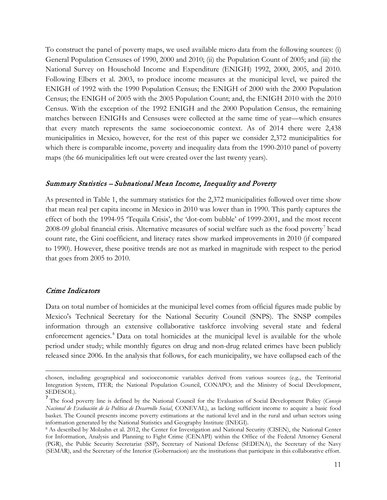To construct the panel of poverty maps, we used available micro data from the following sources: (i) General Population Censuses of 1990, 2000 and 2010; (ii) the Population Count of 2005; and (iii) the National Survey on Household Income and Expenditure (ENIGH) 1992, 2000, 2005, and 2010. Following Elbers et al. 2003, to produce income measures at the municipal level, we paired the ENIGH of 1992 with the 1990 Population Census; the ENIGH of 2000 with the 2000 Population Census; the ENIGH of 2005 with the 2005 Population Count; and, the ENIGH 2010 with the 2010 Census. With the exception of the 1992 ENIGH and the 2000 Population Census, the remaining matches between ENIGHs and Censuses were collected at the same time of year—which ensures that every match represents the same socioeconomic context. As of 2014 there were 2,438 municipalities in Mexico, however, for the rest of this paper we consider 2,372 municipalities for which there is comparable income, poverty and inequality data from the 1990-2010 panel of poverty maps (the 66 municipalities left out were created over the last twenty years).

#### Summary Statistics – Subnational Mean Income, Inequality and Poverty

As presented in Table 1, the summary statistics for the 2,372 municipalities followed over time show that mean real per capita income in Mexico in 2010 was lower than in 1990. This partly captures the effect of both the 1994-95 'Tequila Crisis', the 'dot-com bubble' of 1999-2001, and the most recent 2008-09 global financial crisis. Alternative measures of social welfare such as the food poverty<sup>[7](#page-12-0)</sup> head count rate, the Gini coefficient, and literacy rates show marked improvements in 2010 (if compared to 1990). However, these positive trends are not as marked in magnitude with respect to the period that goes from 2005 to 2010.

#### Crime Indicators

 $\overline{\phantom{a}}$ 

Data on total number of homicides at the municipal level comes from official figures made public by Mexico's Technical Secretary for the National Security Council (SNPS). The SNSP compiles information through an extensive collaborative taskforce involving several state and federal enforcement agencies.<sup>[8](#page-12-1)</sup> Data on total homicides at the municipal level is available for the whole period under study; while monthly figures on drug and non-drug related crimes have been publicly released since 2006. In the analysis that follows, for each municipality, we have collapsed each of the

chosen, including geographical and socioeconomic variables derived from various sources (e.g., the Territorial Integration System, ITER; the National Population Council, CONAPO; and the Ministry of Social Development, SEDESOL).

<span id="page-12-0"></span><sup>7</sup> The food poverty line is defined by the National Council for the Evaluation of Social Development Policy (*Consejo Nacional de Evaluación de la Política de Desarrollo Social*, CONEVAL), as lacking sufficient income to acquire a basic food basket. The Council presents income poverty estimations at the national level and in the rural and urban sectors using information generated by the National Statistics and Geography Institute (INEGI).

<span id="page-12-1"></span><sup>8</sup> As described by Molzahn et al. 2012, the Center for Investigation and National Security (CISEN), the National Center for Information, Analysis and Planning to Fight Crime (CENAPI) within the Office of the Federal Attorney General (PGR), the Public Security Secretariat (SSP), Secretary of National Defense (SEDENA), the Secretary of the Navy (SEMAR), and the Secretary of the Interior (Gobernacion) are the institutions that participate in this collaborative effort.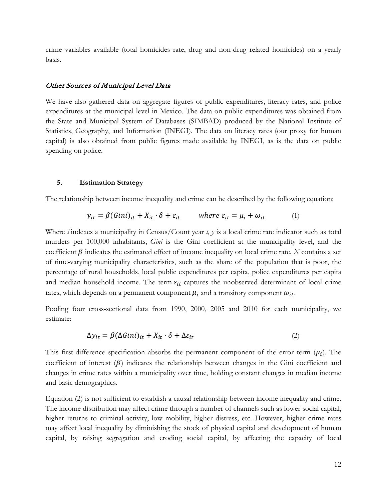crime variables available (total homicides rate, drug and non-drug related homicides) on a yearly basis.

#### Other Sources of Municipal Level Data

We have also gathered data on aggregate figures of public expenditures, literacy rates, and police expenditures at the municipal level in Mexico. The data on public expenditures was obtained from the State and Municipal System of Databases (SIMBAD) produced by the National Institute of Statistics, Geography, and Information (INEGI). The data on literacy rates (our proxy for human capital) is also obtained from public figures made available by INEGI, as is the data on public spending on police.

#### **5. Estimation Strategy**

The relationship between income inequality and crime can be described by the following equation:

$$
y_{it} = \beta (Gini)_{it} + X_{it} \cdot \delta + \varepsilon_{it} \qquad \text{where } \varepsilon_{it} = \mu_i + \omega_{it} \tag{1}
$$

Where *i* indexes a municipality in Census/Count year *t, y* is a local crime rate indicator such as total murders per 100,000 inhabitants, *Gini* is the Gini coefficient at the municipality level, and the coefficient  $\beta$  indicates the estimated effect of income inequality on local crime rate. *X* contains a set of time-varying municipality characteristics, such as the share of the population that is poor, the percentage of rural households, local public expenditures per capita, police expenditures per capita and median household income. The term  $\varepsilon_{it}$  captures the unobserved determinant of local crime rates, which depends on a permanent component  $\mu_i$  and a transitory component  $\omega_{it}$ .

Pooling four cross-sectional data from 1990, 2000, 2005 and 2010 for each municipality, we estimate:

$$
\Delta y_{it} = \beta (\Delta Gini)_{it} + X_{it} \cdot \delta + \Delta \varepsilon_{it} \tag{2}
$$

This first-difference specification absorbs the permanent component of the error term  $(\mu_i)$ . The coefficient of interest  $(\beta)$  indicates the relationship between changes in the Gini coefficient and changes in crime rates within a municipality over time, holding constant changes in median income and basic demographics.

Equation (2) is not sufficient to establish a causal relationship between income inequality and crime. The income distribution may affect crime through a number of channels such as lower social capital, higher returns to criminal activity, low mobility, higher distress, etc. However, higher crime rates may affect local inequality by diminishing the stock of physical capital and development of human capital, by raising segregation and eroding social capital, by affecting the capacity of local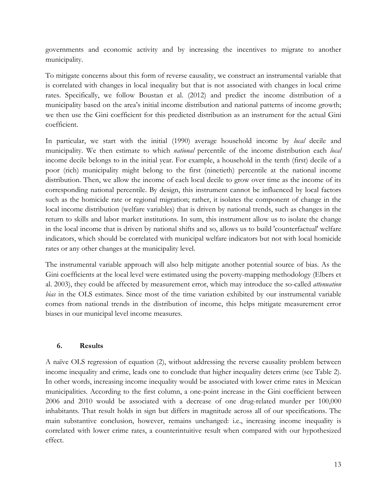governments and economic activity and by increasing the incentives to migrate to another municipality.

To mitigate concerns about this form of reverse causality, we construct an instrumental variable that is correlated with changes in local inequality but that is not associated with changes in local crime rates. Specifically, we follow Boustan et al. (2012) and predict the income distribution of a municipality based on the area's initial income distribution and national patterns of income growth; we then use the Gini coefficient for this predicted distribution as an instrument for the actual Gini coefficient.

In particular, we start with the initial (1990) average household income by *local* decile and municipality. We then estimate to which *national* percentile of the income distribution each *local* income decile belongs to in the initial year. For example, a household in the tenth (first) decile of a poor (rich) municipality might belong to the first (ninetieth) percentile at the national income distribution. Then, we allow the income of each local decile to grow over time as the income of its corresponding national percentile. By design, this instrument cannot be influenced by local factors such as the homicide rate or regional migration; rather, it isolates the component of change in the local income distribution (welfare variables) that is driven by national trends, such as changes in the return to skills and labor market institutions. In sum, this instrument allow us to isolate the change in the local income that is driven by national shifts and so, allows us to build 'counterfactual' welfare indicators, which should be correlated with municipal welfare indicators but not with local homicide rates or any other changes at the municipality level.

The instrumental variable approach will also help mitigate another potential source of bias. As the Gini coefficients at the local level were estimated using the poverty-mapping methodology (Elbers et al. 2003), they could be affected by measurement error, which may introduce the so-called *attenuation bias* in the OLS estimates. Since most of the time variation exhibited by our instrumental variable comes from national trends in the distribution of income, this helps mitigate measurement error biases in our municipal level income measures.

## **6. Results**

A naïve OLS regression of equation (2), without addressing the reverse causality problem between income inequality and crime, leads one to conclude that higher inequality deters crime (see Table 2). In other words, increasing income inequality would be associated with lower crime rates in Mexican municipalities. According to the first column, a one-point increase in the Gini coefficient between 2006 and 2010 would be associated with a decrease of one drug-related murder per 100,000 inhabitants. That result holds in sign but differs in magnitude across all of our specifications. The main substantive conclusion, however, remains unchanged: i.e., increasing income inequality is correlated with lower crime rates, a counterintuitive result when compared with our hypothesized effect.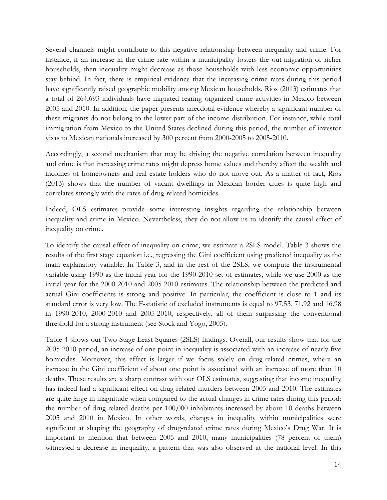Several channels might contribute to this negative relationship between inequality and crime. For instance, if an increase in the crime rate within a municipality fosters the out-migration of richer households, then inequality might decrease as those households with less economic opportunities stay behind. In fact, there is empirical evidence that the increasing crime rates during this period have significantly raised geographic mobility among Mexican households. Rios (2013) estimates that a total of 264,693 individuals have migrated fearing organized crime activities in Mexico between 2005 and 2010. In addition, the paper presents anecdotal evidence whereby a significant number of these migrants do not belong to the lower part of the income distribution. For instance, while total immigration from Mexico to the United States declined during this period, the number of investor visas to Mexican nationals increased by 300 percent from 2000-2005 to 2005-2010.

Accordingly, a second mechanism that may be driving the negative correlation between inequality and crime is that increasing crime rates might depress home values and thereby affect the wealth and incomes of homeowners and real estate holders who do not move out. As a matter of fact, Rios (2013) shows that the number of vacant dwellings in Mexican border cities is quite high and correlates strongly with the rates of drug-related homicides.

Indeed, OLS estimates provide some interesting insights regarding the relationship between inequality and crime in Mexico. Nevertheless, they do not allow us to identify the causal effect of inequality on crime.

To identify the causal effect of inequality on crime, we estimate a 2SLS model. Table 3 shows the results of the first stage equation i.e., regressing the Gini coefficient using predicted inequality as the main explanatory variable. In Table 3, and in the rest of the 2SLS, we compute the instrumental variable using 1990 as the initial year for the 1990-2010 set of estimates, while we use 2000 as the initial year for the 2000-2010 and 2005-2010 estimates. The relationship between the predicted and actual Gini coefficients is strong and positive. In particular, the coefficient is close to 1 and its standard error is very low. The F-statistic of excluded instruments is equal to 97.53, 71.92 and 16.98 in 1990-2010, 2000-2010 and 2005-2010, respectively, all of them surpassing the conventional threshold for a strong instrument (see Stock and Yogo, 2005).

Table 4 shows our Two Stage Least Squares (2SLS) findings. Overall, our results show that for the 2005-2010 period, an increase of one point in inequality is associated with an increase of nearly five homicides. Moreover, this effect is larger if we focus solely on drug-related crimes, where an increase in the Gini coefficient of about one point is associated with an increase of more than 10 deaths. These results are a sharp contrast with our OLS estimates, suggesting that income inequality has indeed had a significant effect on drug-related murders between 2005 and 2010. The estimates are quite large in magnitude when compared to the actual changes in crime rates during this period: the number of drug-related deaths per 100,000 inhabitants increased by about 10 deaths between 2005 and 2010 in Mexico. In other words, changes in inequality within municipalities were significant at shaping the geography of drug-related crime rates during Mexico's Drug War. It is important to mention that between 2005 and 2010, many municipalities (78 percent of them) witnessed a decrease in inequality, a pattern that was also observed at the national level. In this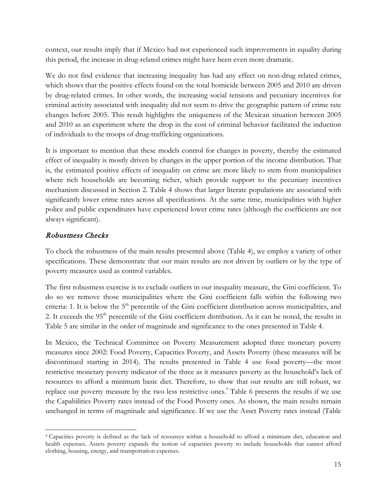context, our results imply that if Mexico had not experienced such improvements in equality during this period, the increase in drug-related crimes might have been even more dramatic.

We do not find evidence that increasing inequality has had any effect on non-drug related crimes, which shows that the positive effects found on the total homicide between 2005 and 2010 are driven by drug-related crimes. In other words, the increasing social tensions and pecuniary incentives for criminal activity associated with inequality did not seem to drive the geographic pattern of crime rate changes before 2005. This result highlights the uniqueness of the Mexican situation between 2005 and 2010 as an experiment where the drop in the cost of criminal behavior facilitated the induction of individuals to the troops of drug-trafficking organizations.

It is important to mention that these models control for changes in poverty, thereby the estimated effect of inequality is mostly driven by changes in the upper portion of the income distribution. That is, the estimated positive effects of inequality on crime are more likely to stem from municipalities where rich households are becoming richer, which provide support to the pecuniary incentives mechanism discussed in Section 2. Table 4 shows that larger literate populations are associated with significantly lower crime rates across all specifications. At the same time, municipalities with higher police and public expenditures have experienced lower crime rates (although the coefficients are not always significant).

# Robustness Checks

To check the robustness of the main results presented above (Table 4), we employ a variety of other specifications. These demonstrate that our main results are not driven by outliers or by the type of poverty measures used as control variables.

The first robustness exercise is to exclude outliers in our inequality measure, the Gini coefficient. To do so we remove those municipalities where the Gini coefficient falls within the following two criteria: 1. It is below the 5<sup>th</sup> percentile of the Gini coefficient distribution across municipalities, and 2. It exceeds the 95<sup>th</sup> percentile of the Gini coefficient distribution. As it can be noted, the results in Table 5 are similar in the order of magnitude and significance to the ones presented in Table 4.

In Mexico, the Technical Committee on Poverty Measurement adopted three monetary poverty measures since 2002: Food Poverty, Capacities Poverty, and Assets Poverty (these measures will be discontinued starting in 2014). The results presented in Table 4 use food poverty—the most restrictive monetary poverty indicator of the three as it measures poverty as the household's lack of resources to afford a minimum basic diet. Therefore, to show that our results are still robust, we replace our poverty measure by the two less restrictive ones.<sup>[9](#page-16-0)</sup> Table 6 presents the results if we use the Capabilities Poverty rates instead of the Food Poverty ones. As shown, the main results remain unchanged in terms of magnitude and significance. If we use the Asset Poverty rates instead (Table

<span id="page-16-0"></span><sup>9</sup> Capacities poverty is defined as the lack of resources within a household to afford a minimum diet, education and health expenses. Assets poverty expands the notion of capacities poverty to include households that cannot afford clothing, housing, energy, and transportation expenses.  $\overline{\phantom{a}}$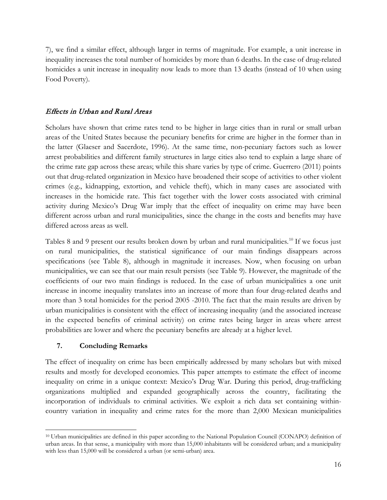7), we find a similar effect, although larger in terms of magnitude. For example, a unit increase in inequality increases the total number of homicides by more than 6 deaths. In the case of drug-related homicides a unit increase in inequality now leads to more than 13 deaths (instead of 10 when using Food Poverty).

## Effects in Urban and Rural Areas

Scholars have shown that crime rates tend to be higher in large cities than in rural or small urban areas of the United States because the pecuniary benefits for crime are higher in the former than in the latter (Glaeser and Sacerdote, 1996). At the same time, non-pecuniary factors such as lower arrest probabilities and different family structures in large cities also tend to explain a large share of the crime rate gap across these areas; while this share varies by type of crime. Guerrero (2011) points out that drug-related organization in Mexico have broadened their scope of activities to other violent crimes (e.g., kidnapping, extortion, and vehicle theft), which in many cases are associated with increases in the homicide rate. This fact together with the lower costs associated with criminal activity during Mexico's Drug War imply that the effect of inequality on crime may have been different across urban and rural municipalities, since the change in the costs and benefits may have differed across areas as well.

Tables 8 and 9 present our results broken down by urban and rural municipalities. [10](#page-17-0) If we focus just on rural municipalities, the statistical significance of our main findings disappears across specifications (see Table 8), although in magnitude it increases. Now, when focusing on urban municipalities, we can see that our main result persists (see Table 9). However, the magnitude of the coefficients of our two main findings is reduced. In the case of urban municipalities a one unit increase in income inequality translates into an increase of more than four drug-related deaths and more than 3 total homicides for the period 2005 -2010. The fact that the main results are driven by urban municipalities is consistent with the effect of increasing inequality (and the associated increase in the expected benefits of criminal activity) on crime rates being larger in areas where arrest probabilities are lower and where the pecuniary benefits are already at a higher level.

## **7. Concluding Remarks**

The effect of inequality on crime has been empirically addressed by many scholars but with mixed results and mostly for developed economies. This paper attempts to estimate the effect of income inequality on crime in a unique context: Mexico's Drug War. During this period, drug-trafficking organizations multiplied and expanded geographically across the country, facilitating the incorporation of individuals to criminal activities. We exploit a rich data set containing withincountry variation in inequality and crime rates for the more than 2,000 Mexican municipalities

<span id="page-17-0"></span><sup>10</sup> Urban municipalities are defined in this paper according to the National Population Council (CONAPO) definition of urban areas. In that sense, a municipality with more than 15,000 inhabitants will be considered urban; and a municipality with less than 15,000 will be considered a urban (or semi-urban) area.  $\overline{\phantom{a}}$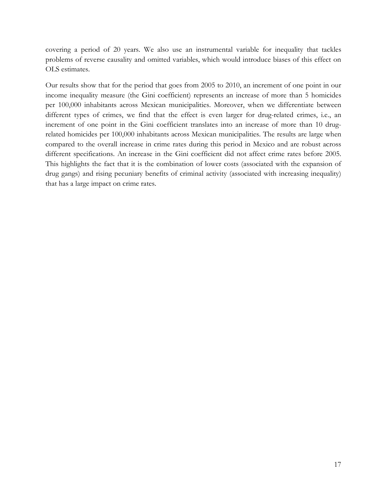covering a period of 20 years. We also use an instrumental variable for inequality that tackles problems of reverse causality and omitted variables, which would introduce biases of this effect on OLS estimates.

Our results show that for the period that goes from 2005 to 2010, an increment of one point in our income inequality measure (the Gini coefficient) represents an increase of more than 5 homicides per 100,000 inhabitants across Mexican municipalities. Moreover, when we differentiate between different types of crimes, we find that the effect is even larger for drug-related crimes, i.e., an increment of one point in the Gini coefficient translates into an increase of more than 10 drugrelated homicides per 100,000 inhabitants across Mexican municipalities. The results are large when compared to the overall increase in crime rates during this period in Mexico and are robust across different specifications. An increase in the Gini coefficient did not affect crime rates before 2005. This highlights the fact that it is the combination of lower costs (associated with the expansion of drug gangs) and rising pecuniary benefits of criminal activity (associated with increasing inequality) that has a large impact on crime rates.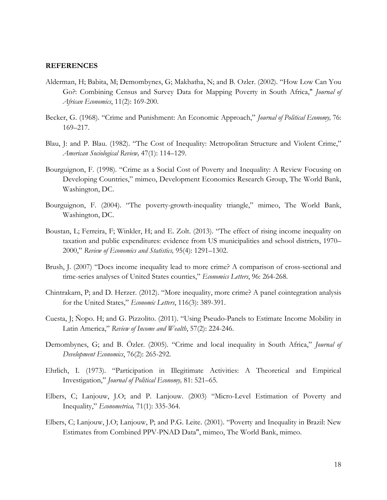#### **REFERENCES**

- Alderman, H; Babita, M; Demombynes, G; Makhatha, N; and B. Ozler. (2002). "How Low Can You Go?: Combining Census and Survey Data for Mapping Poverty in South Africa," *Journal of African Economics*, 11(2): 169-200.
- Becker, G. (1968). "Crime and Punishment: An Economic Approach," *Journal of Political Economy,* 76: 169–217.
- Blau, J: and P. Blau. (1982). "The Cost of Inequality: Metropolitan Structure and Violent Crime," *American Sociological Review,* 47(1): 114–129.
- Bourguignon, F. (1998). "Crime as a Social Cost of Poverty and Inequality: A Review Focusing on Developing Countries," mimeo, Development Economics Research Group, The World Bank, Washington, DC.
- Bourguignon, F. (2004). "The poverty-growth-inequality triangle," mimeo, The World Bank, Washington, DC.
- Boustan, L; Ferreira, F; Winkler, H; and E. Zolt. (2013). "The effect of rising income inequality on taxation and public expenditures: evidence from US municipalities and school districts, 1970– 2000," *Review of Economics and Statistics,* 95(4): 1291–1302.
- Brush, J. (2007) "Does income inequality lead to more crime? A comparison of cross-sectional and time-series analyses of United States counties," *Economics Letters*, 96: 264-268.
- Chintrakarn, P; and D. Herzer. (2012). "More inequality, more crime? A panel cointegration analysis for the United States," *Economic Letters*, 116(3): 389-391.
- Cuesta, J; Ñopo. H; and G. Pizzolito. (2011). "Using Pseudo-Panels to Estimate Income Mobility in Latin America," *Review of Income and Wealth*, 57(2): 224-246.
- Demombynes, G; and B. Özler. (2005). "Crime and local inequality in South Africa," *Journal of Development Economics*, 76(2): 265-292.
- Ehrlich, I. (1973). "Participation in Illegitimate Activities: A Theoretical and Empirical Investigation," *Journal of Political Economy,* 81: 521–65.
- Elbers, C; Lanjouw, J.O; and P. Lanjouw. (2003) "Micro-Level Estimation of Poverty and Inequality," *Econometrica,* 71(1): 335-364.
- Elbers, C; Lanjouw, J.O; Lanjouw, P; and P.G. Leite. (2001). "Poverty and Inequality in Brazil: New Estimates from Combined PPV-PNAD Data", mimeo, The World Bank, mimeo.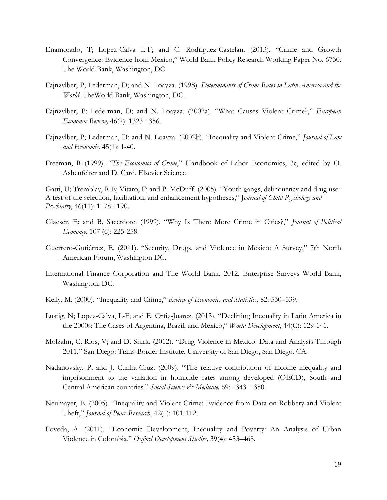- Enamorado, T; Lopez-Calva L-F; and C. Rodriguez-Castelan. (2013). "Crime and Growth Convergence: Evidence from Mexico," World Bank Policy Research Working Paper No. 6730. The World Bank, Washington, DC.
- Fajnzylber, P; Lederman, D; and N. Loayza. (1998). *Determinants of Crime Rates in Latin America and the World*. TheWorld Bank, Washington, DC.
- Fajnzylber, P; Lederman, D; and N. Loayza. (2002a). "What Causes Violent Crime?," *European Economic Review,* 46(7): 1323-1356.
- Fajnzylber, P; Lederman, D; and N. Loayza. (2002b). "Inequality and Violent Crime," *Journal of Law and Economic,* 45(1): 1-40.
- Freeman, R (1999). "*The Economics of Crime*," Handbook of Labor Economics, 3c, edited by O. Ashenfelter and D. Card. Elsevier Science

Gatti, U; Tremblay, R.E; Vitaro, F; and P. McDuff. (2005). "Youth gangs, delinquency and drug use: A test of the selection, facilitation, and enhancement hypotheses," J*ournal of Child Psychology and Psychiatry*, 46(11): 1178-1190.

- Glaeser, E; and B. Sacerdote. (1999). "Why Is There More Crime in Cities?," *Journal of Political Economy*, 107 (6): 225-258.
- Guerrero-Gutiérrez, E. (2011). "Security, Drugs, and Violence in Mexico: A Survey," 7th North American Forum, Washington DC.
- International Finance Corporation and The World Bank. 2012. Enterprise Surveys World Bank, Washington, DC.
- Kelly, M. (2000). "Inequality and Crime," *Review of Economics and Statistics,* 82: 530–539.
- Lustig, N; Lopez-Calva, L-F; and E. Ortiz-Juarez. (2013). ["Declining Inequality in Latin America in](http://ideas.repec.org/a/eee/wdevel/v44y2013icp129-141.html)  [the 2000s: The Cases of Argentina, Brazil, and Mexico,](http://ideas.repec.org/a/eee/wdevel/v44y2013icp129-141.html)" *[World Development](http://ideas.repec.org/s/eee/wdevel.html)*, 44(C): 129-141.
- Molzahn, C; Rios, V; and D. Shirk. (2012). "Drug Violence in Mexico: Data and Analysis Through 2011," San Diego: Trans-Border Institute, University of San Diego, San Diego. CA.
- Nadanovsky, P; and J. Cunha-Cruz. (2009). "The relative contribution of income inequality and imprisonment to the variation in homicide rates among developed (OECD), South and Central American countries." *Social Science & Medicine,* 69: 1343–1350.
- Neumayer, E. (2005). "Inequality and Violent Crime: Evidence from Data on Robbery and Violent Theft," *Journal of Peace Research,* 42(1): 101-112.
- Poveda, A. (2011). "Economic Development, Inequality and Poverty: An Analysis of Urban Violence in Colombia," *Oxford Development Studies,* 39(4): 453–468.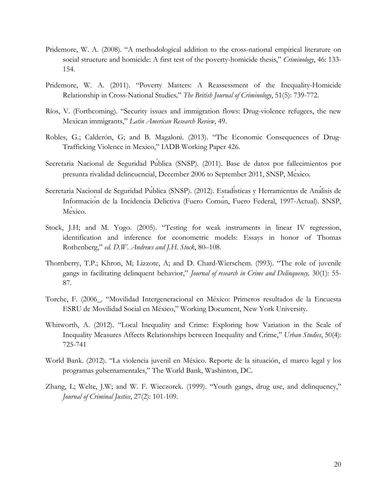- Pridemore, W. A. (2008). "A methodological addition to the cross-national empirical literature on social structure and homicide: A first test of the poverty-homicide thesis," *Criminology*, 46: 133- 154.
- Pridemore, W. A. (2011). "Poverty Matters: A Reassessment of the Inequality-Homicide Relationship in Cross-National Studies*,*" *The British Journal of Criminology*, 51(5): 739-772.
- Ríos, V. (Forthcoming). "Security issues and immigration flows: Drug-violence refugees, the new Mexican immigrants," *Latin American Research Review*, 49.
- Robles, G.; Calderón, G; and B. Magaloni. (2013). "The Economic Consequences of Drug-Trafficking Violence in Mexico," IADB Working Paper 426.
- Secretaria Nacional de Seguridad Pública (SNSP). (2011). Base de datos por fallecimientos por presunta rivalidad delincuencial, December 2006 to September 2011, SNSP, México.
- Secretaria Nacional de Seguridad Pública (SNSP). (2012). Estadísticas y Herramientas de Análisis de Información de la Incidencia Delictiva (Fuero Común, Fuero Federal, 1997-Actual). SNSP, Mexico.
- Stock, J.H; and M. Yogo. (2005). "Testing for weak instruments in linear IV regression, identification and inference for econometric models: Essays in honor of Thomas Rothenberg," *ed. D.W. Andrews and J.H. Stock*, 80–108.
- Thornberry, T.P.; Khron, M; Lizzote, A; and D. Chard-Wierschem. (!993). "The role of juvenile gangs in facilitating delinquent behavior," *Journal of research in Crime and Delinquency,* 30(1): 55- 87.
- Torche, F. (2006\_. "Movilidad Intergeneracional en México: Primeros resultados de la Encuesta ESRU de Movilidad Social en México," Working Document, New York University*.*
- Whitworth, A. (2012). "Local Inequality and Crime: Exploring how Variation in the Scale of Inequality Measures Affects Relationships between Inequality and Crime," *Urban Studies*, 50(4): 725-741
- World Bank. (2012). "La violencia juvenil en México. Reporte de la situación, el marco legal y los programas gubernamentales," The World Bank, Washinton, DC.
- Zhang, L; Welte, J.W; and W. F. Wieczorek. (1999). "Youth gangs, drug use, and delinquency," *Journal of Criminal Justice*, 27(2): 101-109.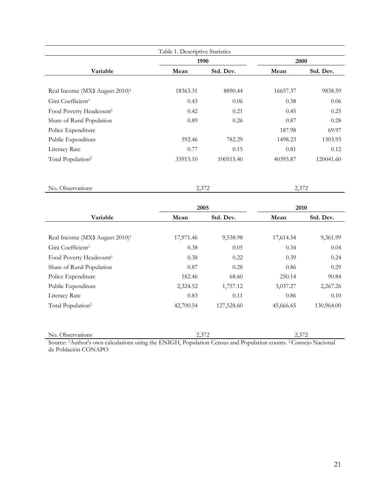| Table 1. Descriptive Statistics             |          |           |          |           |  |  |
|---------------------------------------------|----------|-----------|----------|-----------|--|--|
|                                             | 1990     |           | 2000     |           |  |  |
| Variable                                    | Mean     | Std. Dev. | Mean     | Std. Dev. |  |  |
|                                             |          |           |          |           |  |  |
| Real Income (MX\$ August 2010) <sup>1</sup> | 18363.31 | 8890.44   | 16657.37 | 9838.59   |  |  |
| Gini Coefficient <sup>1</sup>               | 0.43     | 0.06      | 0.38     | 0.06      |  |  |
| Food Poverty Headcount <sup>1</sup>         | 0.42     | 0.21      | 0.45     | 0.25      |  |  |
| Share of Rural Population                   | 0.89     | 0.26      | 0.87     | 0.28      |  |  |
| Police Expenditure                          |          |           | 187.98   | 69.97     |  |  |
| Public Expenditure                          | 592.46   | 782.29    | 1498.23  | 1303.93   |  |  |
| Literacy Rate                               | 0.77     | 0.15      | 0.81     | 0.12      |  |  |
| Total Population <sup>2</sup>               | 33913.10 | 100515.40 | 40395.87 | 120041.60 |  |  |

No. Observations 2,372 2,372

|                                             | 2005      |            | 2010      |            |
|---------------------------------------------|-----------|------------|-----------|------------|
| Variable                                    | Mean      | Std. Dev.  | Mean      | Std. Dev.  |
|                                             |           |            |           |            |
| Real Income (MX\$ August 2010) <sup>1</sup> | 17,971.46 | 9,538.98   | 17,614.54 | 9,361.99   |
| Gini Coefficient <sup>1</sup>               | 0.38      | 0.05       | 0.34      | 0.04       |
| Food Poverty Headcount <sup>1</sup>         | 0.38      | 0.22       | 0.39      | 0.24       |
| Share of Rural Population                   | 0.87      | 0.28       | 0.86      | 0.29       |
| Police Expenditure                          | 182.46    | 68.60      | 250.14    | 90.84      |
| Public Expenditure                          | 2,324.52  | 1,757.12   | 3,037.27  | 2,267.26   |
| Literacy Rate                               | 0.83      | 0.11       | 0.86      | 0.10       |
| Total Population <sup>2</sup>               | 42,700.54 | 127,528.60 | 45,666.65 | 130,964.00 |

No. Observations 2,372 2,372

Source: 1Author's own calculations using the ENIGH, Population Census and Population counts. 2 Consejo Nacional de Población CONAPO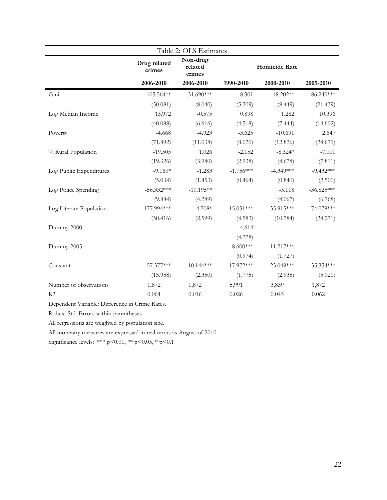|                         |                        | Table 2: OLS Estimates        |               |              |              |
|-------------------------|------------------------|-------------------------------|---------------|--------------|--------------|
|                         | Drug related<br>crimes | Non-drug<br>related<br>crimes | Homicide Rate |              |              |
|                         | 2006-2010              | 2006-2010                     | 1990-2010     | 2000-2010    | 2005-2010    |
| Gini                    | $-105.564**$           | $-31.690***$                  | $-8.301$      | $-18.202**$  | $-86.240***$ |
|                         | (50.081)               | (8.040)                       | (5.309)       | (8.449)      | (21.439)     |
| Log Median Income       | 13.972                 | $-0.575$                      | 0.898         | 1.282        | 10.396       |
|                         | (40.088)               | (6.616)                       | (4.518)       | (7.444)      | (14.602)     |
| Poverty                 | $-4.668$               | $-4.923$                      | $-3.625$      | $-10.691$    | 2.647        |
|                         | (71.892)               | (11.038)                      | (8.020)       | (12.826)     | (24.679)     |
| % Rural Population      | $-19.505$              | 1.026                         | $-2.152$      | $-8.324*$    | $-7.001$     |
|                         | (19.326)               | (3.980)                       | (2.938)       | (4.678)      | (7.811)      |
| Log Public Expenditures | $-9.160*$              | $-1.283$                      | $-1.756***$   | $-4.349***$  | $-9.432***$  |
|                         | (5.034)                | (1.453)                       | (0.464)       | (0.840)      | (2.500)      |
| Log Police Spending     | $-56.332***$           | $-10.195**$                   |               | $-5.118$     | $-36.825***$ |
|                         | (9.884)                | (4.289)                       |               | (4.067)      | (6.768)      |
| Log Literate Population | $-177.994***$          | $-4.708*$                     | $-15.031***$  | $-35.915***$ | $-74.078***$ |
|                         | (50.416)               | (2.599)                       | (4.583)       | (10.784)     | (24.271)     |
| Dummy 2000              |                        |                               | $-4.614$      |              |              |
|                         |                        |                               | (4.778)       |              |              |
| Dummy 2005              |                        |                               | $-8.600***$   | $-11.217***$ |              |
|                         |                        |                               | (0.974)       | (1.727)      |              |
| Constant                | 57.377***              | $10.144***$                   | 17.972***     | 23.048***    | 35.354 ***   |
|                         | (15.958)               | (2.350)                       | (1.775)       | (2.935)      | (5.021)      |
| Number of observations  | 1,872                  | 1,872                         | 5,991         | 3,839        | 1,872        |
| R <sub>2</sub>          | 0.064                  | 0.016                         | 0.026         | 0.045        | 0.062        |

Robust Std. Errors within parentheses

All regressions are weighted by population size.

All monetary measures are expressed in real terms as August of 2010.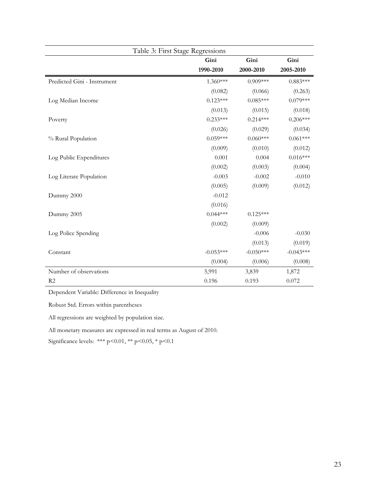|                             | Table 3: First Stage Regressions |             |             |  |  |  |
|-----------------------------|----------------------------------|-------------|-------------|--|--|--|
|                             | Gini                             | Gini        | Gini        |  |  |  |
|                             | 1990-2010                        | 2000-2010   | 2005-2010   |  |  |  |
| Predicted Gini - Instrument | $1.360***$                       | $0.909***$  | $0.883***$  |  |  |  |
|                             | (0.082)                          | (0.066)     | (0.263)     |  |  |  |
| Log Median Income           | $0.123***$                       | $0.085***$  | $0.079***$  |  |  |  |
|                             | (0.013)                          | (0.015)     | (0.018)     |  |  |  |
| Poverty                     | $0.233***$                       | $0.214***$  | $0.206***$  |  |  |  |
|                             | (0.026)                          | (0.029)     | (0.034)     |  |  |  |
| % Rural Population          | $0.059***$                       | $0.060***$  | $0.061***$  |  |  |  |
|                             | (0.009)                          | (0.010)     | (0.012)     |  |  |  |
| Log Public Expenditures     | 0.001                            | 0.004       | $0.016***$  |  |  |  |
|                             | (0.002)                          | (0.003)     | (0.004)     |  |  |  |
| Log Literate Population     | $-0.003$                         | $-0.002$    | $-0.010$    |  |  |  |
|                             | (0.005)                          | (0.009)     | (0.012)     |  |  |  |
| Dummy 2000                  | $-0.012$                         |             |             |  |  |  |
|                             | (0.016)                          |             |             |  |  |  |
| Dummy 2005                  | $0.044***$                       | $0.125***$  |             |  |  |  |
|                             | (0.002)                          | (0.009)     |             |  |  |  |
| Log Police Spending         |                                  | $-0.006$    | $-0.030$    |  |  |  |
|                             |                                  | (0.013)     | (0.019)     |  |  |  |
| Constant                    | $-0.053***$                      | $-0.050***$ | $-0.043***$ |  |  |  |
|                             | (0.004)                          | (0.006)     | (0.008)     |  |  |  |
| Number of observations      | 5,991                            | 3,839       | 1,872       |  |  |  |
| R2                          | 0.196                            | 0.193       | 0.072       |  |  |  |

Dependent Variable: Difference in Inequality

Robust Std. Errors within parentheses

All regressions are weighted by population size.

All monetary measures are expressed in real terms as August of 2010.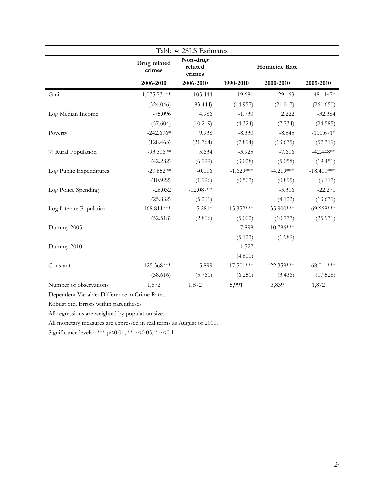|                         |                        | Table 4: 2SLS Estimates       |                      |              |              |
|-------------------------|------------------------|-------------------------------|----------------------|--------------|--------------|
|                         | Drug related<br>crimes | Non-drug<br>related<br>crimes | <b>Homicide Rate</b> |              |              |
|                         | 2006-2010              | 2006-2010                     | 1990-2010            | 2000-2010    | 2005-2010    |
| Gini                    | 1,075.731**            | $-105.444$                    | 19.681               | $-29.163$    | 481.147*     |
|                         | (524.046)              | (83.444)                      | (14.957)             | (21.017)     | (261.650)    |
| Log Median Income       | $-75.096$              | 4.986                         | $-1.730$             | 2.222        | $-32.384$    |
|                         | (57.604)               | (10.219)                      | (4.324)              | (7.734)      | (24.585)     |
| Poverty                 | $-242.676*$            | 9.938                         | $-8.330$             | $-8.545$     | $-111.671*$  |
|                         | (128.463)              | (21.764)                      | (7.894)              | (13.675)     | (57.319)     |
| % Rural Population      | $-93.306**$            | 5.634                         | $-3.925$             | $-7.606$     | $-42.448**$  |
|                         | (42.282)               | (6.999)                       | (3.028)              | (5.058)      | (19.451)     |
| Log Public Expenditures | $-27.852**$            | $-0.116$                      | $-1.629***$          | $-4.219***$  | $-18.410***$ |
|                         | (10.922)               | (1.996)                       | (0.503)              | (0.895)      | (6.117)      |
| Log Police Spending     | $-26.032$              | $-12.087**$                   |                      | $-5.316$     | $-22.271$    |
|                         | (25.832)               | (5.201)                       |                      | (4.122)      | (13.639)     |
| Log Literate Population | $-168.811***$          | $-5.281*$                     | $-15.352***$         | $-35.900***$ | $-69.668***$ |
|                         | (52.518)               | (2.806)                       | (5.002)              | (10.777)     | (25.931)     |
| Dummy 2005              |                        |                               | $-7.898$             | $-10.786***$ |              |
|                         |                        |                               | (5.123)              | (1.989)      |              |
| Dummy 2010              |                        |                               | 1.527                |              |              |
|                         |                        |                               | (4.600)              |              |              |
| Constant                | 125.368***             | 5.899                         | 17.501***            | 22.359***    | 68.011***    |
|                         | (38.616)               | (5.761)                       | (6.251)              | (3.436)      | (17.528)     |
| Number of observations  | 1,872                  | 1,872                         | 5,991                | 3,839        | 1,872        |

Robust Std. Errors within parentheses

All regressions are weighted by population size.

All monetary measures are expressed in real terms as August of 2010.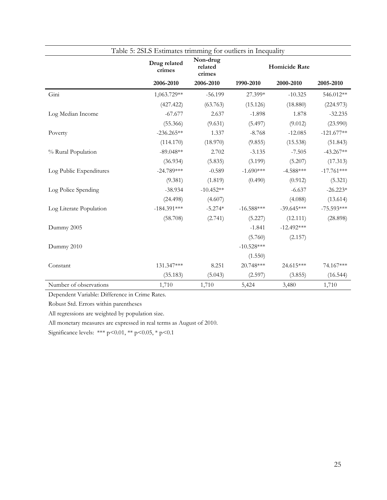|                         | Table 5: 2SLS Estimates trimming for outliers in Inequality |             |               |              |              |
|-------------------------|-------------------------------------------------------------|-------------|---------------|--------------|--------------|
|                         | Non-drug<br>Drug related<br>related<br>crimes<br>crimes     |             | Homicide Rate |              |              |
|                         | 2006-2010                                                   | 2006-2010   | 1990-2010     | 2000-2010    | 2005-2010    |
| Gini                    | 1,063.729**                                                 | $-56.199$   | 27.399*       | $-10.325$    | 546.012**    |
|                         | (427.422)                                                   | (63.763)    | (15.126)      | (18.880)     | (224.973)    |
| Log Median Income       | $-67.677$                                                   | 2.637       | $-1.898$      | 1.878        | $-32.235$    |
|                         | (55.366)                                                    | (9.631)     | (5.497)       | (9.012)      | (23.990)     |
| Poverty                 | $-236.265**$                                                | 1.337       | $-8.768$      | $-12.085$    | $-121.677**$ |
|                         | (114.170)                                                   | (18.970)    | (9.855)       | (15.538)     | (51.843)     |
| % Rural Population      | $-89.048**$                                                 | 2.702       | $-3.135$      | $-7.505$     | $-43.267**$  |
|                         | (36.934)                                                    | (5.835)     | (3.199)       | (5.207)      | (17.313)     |
| Log Public Expenditures | $-24.789***$                                                | $-0.589$    | $-1.690***$   | $-4.588***$  | $-17.761***$ |
|                         | (9.381)                                                     | (1.819)     | (0.490)       | (0.912)      | (5.321)      |
| Log Police Spending     | $-38.934$                                                   | $-10.452**$ |               | $-6.637$     | $-26.223*$   |
|                         | (24.498)                                                    | (4.607)     |               | (4.088)      | (13.614)     |
| Log Literate Population | $-184.391***$                                               | $-5.274*$   | $-16.588***$  | $-39.645***$ | $-75.593***$ |
|                         | (58.708)                                                    | (2.741)     | (5.227)       | (12.111)     | (28.898)     |
| Dummy 2005              |                                                             |             | $-1.841$      | $-12.492***$ |              |
|                         |                                                             |             | (5.760)       | (2.157)      |              |
| Dummy 2010              |                                                             |             | $-10.528***$  |              |              |
|                         |                                                             |             | (1.550)       |              |              |
| Constant                | 131.347***                                                  | 8.251       | 20.748***     | 24.615***    | 74.167***    |
|                         | (35.183)                                                    | (5.043)     | (2.597)       | (3.855)      | (16.544)     |
| Number of observations  | 1,710                                                       | 1,710       | 5,424         | 3,480        | 1,710        |

Robust Std. Errors within parentheses

All regressions are weighted by population size.

All monetary measures are expressed in real terms as August of 2010.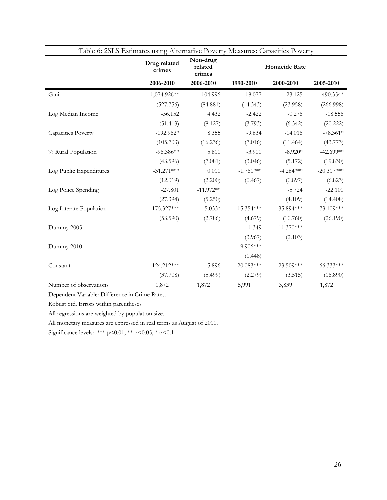|                         | Table 6: 2SLS Estimates using Alternative Poverty Measures: Capacities Poverty |                               |               |              |              |  |  |
|-------------------------|--------------------------------------------------------------------------------|-------------------------------|---------------|--------------|--------------|--|--|
|                         | Drug related<br>crimes                                                         | Non-drug<br>related<br>crimes | Homicide Rate |              |              |  |  |
|                         | 2006-2010                                                                      | 2006-2010                     | 1990-2010     | 2000-2010    | 2005-2010    |  |  |
| Gini                    | 1,074.926**                                                                    | $-104.996$                    | 18.077        | $-23.125$    | 490.354*     |  |  |
|                         | (527.756)                                                                      | (84.881)                      | (14.343)      | (23.958)     | (266.998)    |  |  |
| Log Median Income       | $-56.152$                                                                      | 4.432                         | $-2.422$      | $-0.276$     | $-18.556$    |  |  |
|                         | (51.413)                                                                       | (8.127)                       | (3.793)       | (6.342)      | (20.222)     |  |  |
| Capacities Poverty      | $-192.962*$                                                                    | 8.355                         | $-9.634$      | $-14.016$    | $-78.361*$   |  |  |
|                         | (105.703)                                                                      | (16.236)                      | (7.016)       | (11.464)     | (43.773)     |  |  |
| % Rural Population      | $-96.386**$                                                                    | 5.810                         | $-3.900$      | $-8.920*$    | $-42.699**$  |  |  |
|                         | (43.596)                                                                       | (7.081)                       | (3.046)       | (5.172)      | (19.830)     |  |  |
| Log Public Expenditures | $-31.271***$                                                                   | 0.010                         | $-1.761***$   | $-4.264***$  | $-20.317***$ |  |  |
|                         | (12.019)                                                                       | (2.200)                       | (0.467)       | (0.897)      | (6.823)      |  |  |
| Log Police Spending     | $-27.801$                                                                      | $-11.972**$                   |               | $-5.724$     | $-22.100$    |  |  |
|                         | (27.394)                                                                       | (5.250)                       |               | (4.109)      | (14.408)     |  |  |
| Log Literate Population | $-175.327***$                                                                  | $-5.033*$                     | $-15.354***$  | $-35.894***$ | $-73.109***$ |  |  |
|                         | (53.590)                                                                       | (2.786)                       | (4.679)       | (10.760)     | (26.190)     |  |  |
| Dummy 2005              |                                                                                |                               | $-1.349$      | $-11.370***$ |              |  |  |
|                         |                                                                                |                               | (3.967)       | (2.103)      |              |  |  |
| Dummy 2010              |                                                                                |                               | $-9.906***$   |              |              |  |  |
|                         |                                                                                |                               | (1.448)       |              |              |  |  |
| Constant                | 124.212***                                                                     | 5.896                         | 20.083***     | 23.509***    | 66.333***    |  |  |
|                         | (37.708)                                                                       | (5.499)                       | (2.279)       | (3.515)      | (16.890)     |  |  |
| Number of observations  | 1,872                                                                          | 1,872                         | 5,991         | 3,839        | 1,872        |  |  |

Robust Std. Errors within parentheses

All regressions are weighted by population size.

All monetary measures are expressed in real terms as August of 2010.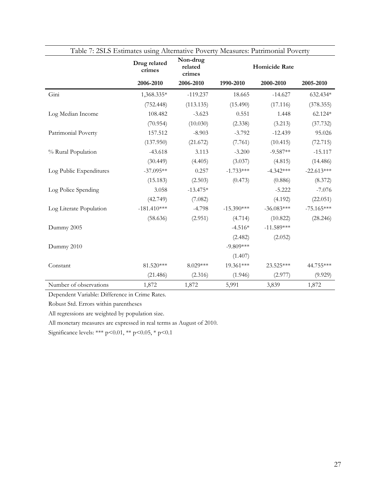| Table 7: 2SLS Estimates using Alternative Poverty Measures: Patrimonial Poverty |                        |                               |                      |              |              |  |
|---------------------------------------------------------------------------------|------------------------|-------------------------------|----------------------|--------------|--------------|--|
|                                                                                 | Drug related<br>crimes | Non-drug<br>related<br>crimes | <b>Homicide Rate</b> |              |              |  |
|                                                                                 | 2006-2010              | 2006-2010                     | 1990-2010            | 2000-2010    | 2005-2010    |  |
| Gini                                                                            | 1,368.335*             | $-119.237$                    | 18.665               | $-14.627$    | 632.434*     |  |
|                                                                                 | (752.448)              | (113.135)                     | (15.490)             | (17.116)     | (378.355)    |  |
| Log Median Income                                                               | 108.482                | $-3.623$                      | 0.551                | 1.448        | 62.124*      |  |
|                                                                                 | (70.954)               | (10.030)                      | (2.338)              | (3.213)      | (37.732)     |  |
| Patrimonial Poverty                                                             | 157.512                | $-8.903$                      | $-3.792$             | $-12.439$    | 95.026       |  |
|                                                                                 | (137.950)              | (21.672)                      | (7.761)              | (10.415)     | (72.715)     |  |
| % Rural Population                                                              | $-43.618$              | 3.113                         | $-3.200$             | $-9.587**$   | $-15.117$    |  |
|                                                                                 | (30.449)               | (4.405)                       | (3.037)              | (4.815)      | (14.486)     |  |
| Log Public Expenditures                                                         | $-37.095**$            | 0.257                         | $-1.733***$          | $-4.342***$  | $-22.613***$ |  |
|                                                                                 | (15.183)               | (2.503)                       | (0.473)              | (0.886)      | (8.372)      |  |
| Log Police Spending                                                             | 3.058                  | $-13.475*$                    |                      | $-5.222$     | $-7.076$     |  |
|                                                                                 | (42.749)               | (7.082)                       |                      | (4.192)      | (22.051)     |  |
| Log Literate Population                                                         | $-181.410***$          | $-4.798$                      | $-15.390***$         | $-36.083***$ | $-75.165***$ |  |
|                                                                                 | (58.636)               | (2.951)                       | (4.714)              | (10.822)     | (28.246)     |  |
| Dummy 2005                                                                      |                        |                               | $-4.516*$            | $-11.589***$ |              |  |
|                                                                                 |                        |                               | (2.482)              | (2.052)      |              |  |
| Dummy 2010                                                                      |                        |                               | $-9.809***$          |              |              |  |
|                                                                                 |                        |                               | (1.407)              |              |              |  |
| Constant                                                                        | 81.520***              | 8.029***                      | 19.361***            | 23.525***    | 44.755***    |  |
|                                                                                 | (21.486)               | (2.316)                       | (1.946)              | (2.977)      | (9.929)      |  |
| Number of observations                                                          | 1,872                  | 1,872                         | 5,991                | 3,839        | 1,872        |  |

Robust Std. Errors within parentheses

All regressions are weighted by population size.

All monetary measures are expressed in real terms as August of 2010.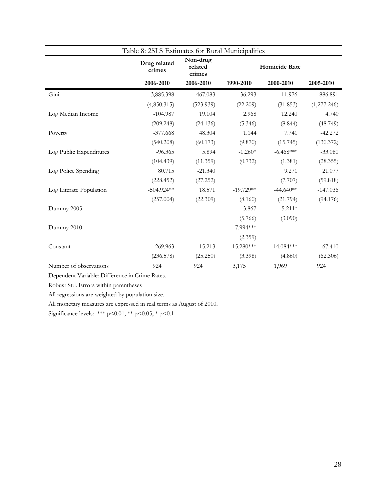|                         | Table 8: 2SLS Estimates for Rural Municipalities |                               |                      |             |             |
|-------------------------|--------------------------------------------------|-------------------------------|----------------------|-------------|-------------|
|                         | Drug related<br>crimes                           | Non-drug<br>related<br>crimes | <b>Homicide Rate</b> |             |             |
|                         | 2006-2010                                        | 2006-2010                     | 1990-2010            | 2000-2010   | 2005-2010   |
| Gini                    | 3,885.398                                        | $-467.083$                    | 36.293               | 11.976      | 886.891     |
|                         | (4,850.315)                                      | (523.939)                     | (22.209)             | (31.853)    | (1,277.246) |
| Log Median Income       | $-104.987$                                       | 19.104                        | 2.968                | 12.240      | 4.740       |
|                         | (209.248)                                        | (24.136)                      | (5.346)              | (8.844)     | (48.749)    |
| Poverty                 | $-377.668$                                       | 48.304                        | 1.144                | 7.741       | $-42.272$   |
|                         | (540.208)                                        | (60.173)                      | (9.870)              | (15.745)    | (130.372)   |
| Log Public Expenditures | $-96.365$                                        | 5.894                         | $-1.260*$            | $-6.468***$ | $-33.080$   |
|                         | (104.439)                                        | (11.359)                      | (0.732)              | (1.381)     | (28.355)    |
| Log Police Spending     | 80.715                                           | $-21.340$                     |                      | 9.271       | 21.077      |
|                         | (228.452)                                        | (27.252)                      |                      | (7.707)     | (59.818)    |
| Log Literate Population | $-504.924**$                                     | 18.571                        | $-19.729**$          | $-44.640**$ | $-147.036$  |
|                         | (257.004)                                        | (22.309)                      | (8.160)              | (21.794)    | (94.176)    |
| Dummy 2005              |                                                  |                               | $-3.867$             | $-5.211*$   |             |
|                         |                                                  |                               | (5.766)              | (3.090)     |             |
| Dummy 2010              |                                                  |                               | $-7.994***$          |             |             |
|                         |                                                  |                               | (2.359)              |             |             |
| Constant                | 269.963                                          | $-15.213$                     | 15.280***            | 14.084***   | 67.410      |
|                         | (236.578)                                        | (25.250)                      | (3.398)              | (4.860)     | (62.306)    |
| Number of observations  | 924                                              | 924                           | 3,175                | 1,969       | 924         |

Robust Std. Errors within parentheses

All regressions are weighted by population size.

All monetary measures are expressed in real terms as August of 2010.